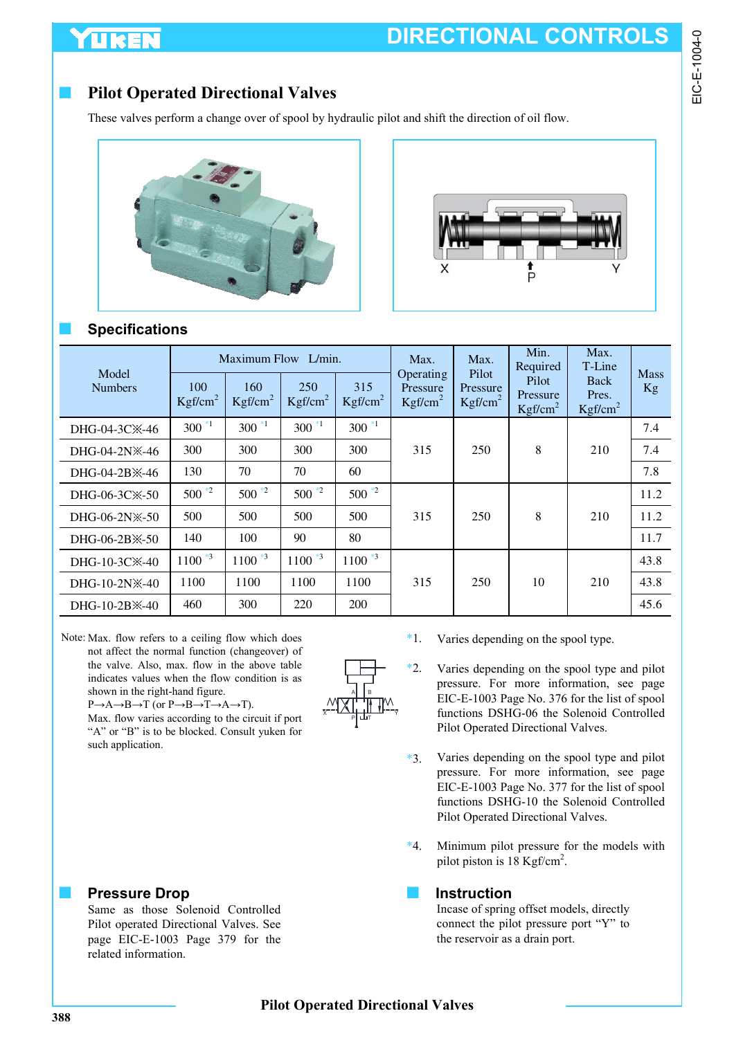# **DIRECTIONAL CONTROLS**

### **Pilot Operated Directional Valves**

These valves perform a change over of spool by hydraulic pilot and shift the direction of oil flow.





### ■ **Specifications**

UKEI

|                                                |                            | Maximum Flow L/min.        |                            |                            | Max.                                         | Max.                                     | Min.<br>Required                         | Max.<br>T-Line                       |                   |
|------------------------------------------------|----------------------------|----------------------------|----------------------------|----------------------------|----------------------------------------------|------------------------------------------|------------------------------------------|--------------------------------------|-------------------|
| Model<br><b>Numbers</b>                        | 100<br>Kgf/cm <sup>2</sup> | 160<br>Kgf/cm <sup>2</sup> | 250<br>Kgf/cm <sup>2</sup> | 315<br>Kgf/cm <sup>2</sup> | Operating<br>Pressure<br>Kgf/cm <sup>2</sup> | Pilot<br>Pressure<br>Kgf/cm <sup>2</sup> | Pilot<br>Pressure<br>Kgf/cm <sup>2</sup> | Back<br>Pres.<br>Kgf/cm <sup>2</sup> | <b>Mass</b><br>Kg |
| DHG-04-3C <sup>*</sup> -46                     | $300*1$                    | $300*1$                    | $300*1$                    | $300*1$                    |                                              |                                          |                                          |                                      | 7.4               |
| DHG-04-2N※-46                                  | 300                        | 300                        | 300                        | 300                        | 315                                          | 250                                      | 8                                        | 210                                  | 7.4               |
| DHG-04-2B <sup>×</sup> -46                     | 130                        | 70                         | 70                         | 60                         |                                              |                                          |                                          |                                      | 7.8               |
| DHG-06-3C <sup>*</sup> -50                     | $500*2$                    | $500^{*2}$                 | $500*2$                    | $500*2$                    |                                              |                                          |                                          |                                      | 11.2              |
| $DHG-06-2N\% -50$                              | 500                        | 500                        | 500                        | 500                        | 315                                          | 250                                      | 8                                        | 210                                  | 11.2              |
| $DHG-06-2B \times -50$                         | 140                        | 100                        | 90                         | 80                         |                                              |                                          |                                          |                                      | 11.7              |
| DHG-10-3C <sup>×</sup> -40                     | $1100*3$                   | $1100*3$                   | $1100*3$                   | $1100$ $*3$                |                                              |                                          |                                          |                                      | 43.8              |
| $DHG-10-2N\$                                   | 1100                       | 1100                       | 1100                       | 1100                       | 315                                          | 250                                      | 10                                       | 210                                  | 43.8              |
| $DHG-10-2B$ <sup><math>\times</math></sup> -40 | 460                        | 300                        | 220                        | <b>200</b>                 |                                              |                                          |                                          |                                      | 45.6              |

Note: Max. flow refers to a ceiling flow which does not affect the normal function (changeover) of the valve. Also, max. flow in the above table indicates values when the flow condition is as shown in the right-hand figure.

P→A→B→T (or P→B→T→A→T).

Max. flow varies according to the circuit if port "A" or "B" is to be blocked. Consult yuken for such application.

### **Pressure Drop**

Same as those Solenoid Controlled Pilot operated Directional Valves. See page EIC-E-1003 Page 379 for the related information.



- Varies depending on the spool type. \*1.
- Varies depending on the spool type and pilot pressure. For more information, see page EIC-E-1003 Page No. 376 for the list of spool functions DSHG-06 the Solenoid Controlled Pilot Operated Directional Valves. \*2.
- Varies depending on the spool type and pilot pressure. For more information, see page EIC-E-1003 Page No. 377 for the list of spool functions DSHG-10 the Solenoid Controlled Pilot Operated Directional Valves. \*3.
- Minimum pilot pressure for the models with pilot piston is  $18$  Kgf/cm<sup>2</sup>.  $*4.$

#### ■ **Instruction**

Incase of spring offset models, directly connect the pilot pressure port "Y" to the reservoir as a drain port.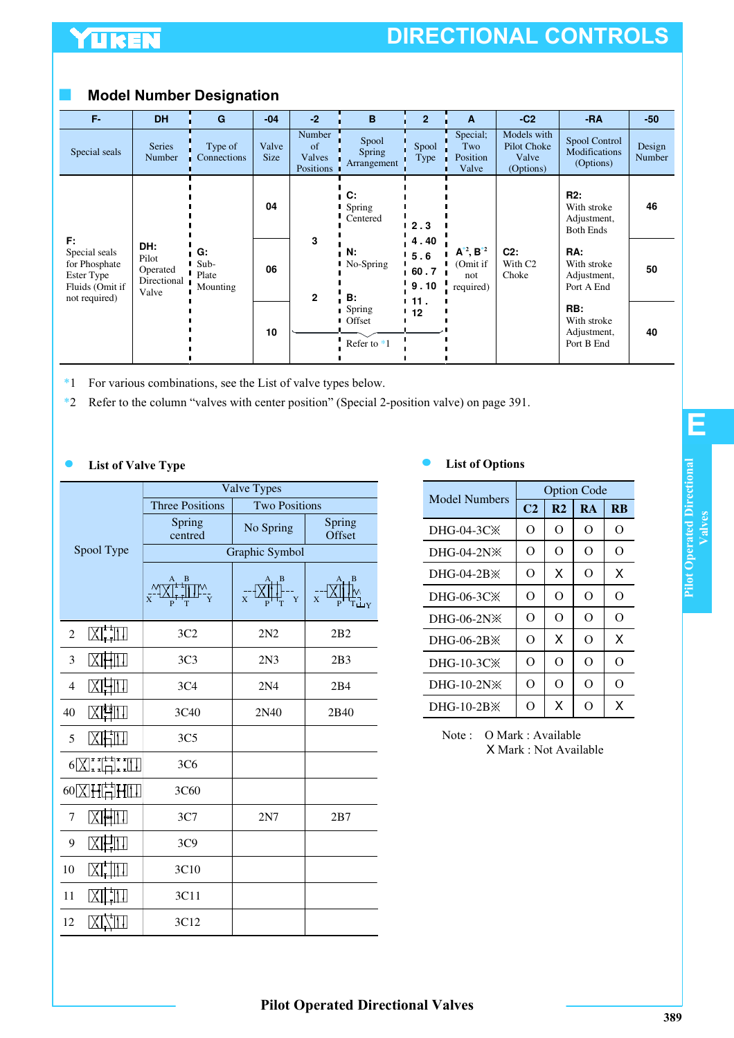# YUKEN

# **DIRECTIONAL CONTROLS**

### ■ **Model Number Designation**

| F-                                                                                     | <b>DH</b>                                        | G                               | $-04$         | $-2$                                | B                               | $\overline{2}$                     | A                                                   | $-C2$                                            | $-RA$                                                 | $-50$            |
|----------------------------------------------------------------------------------------|--------------------------------------------------|---------------------------------|---------------|-------------------------------------|---------------------------------|------------------------------------|-----------------------------------------------------|--------------------------------------------------|-------------------------------------------------------|------------------|
| Special seals                                                                          | <b>Series</b><br>Number                          | Type of<br>Connections          | Valve<br>Size | Number<br>of<br>Valves<br>Positions | Spool<br>Spring<br>Arrangement  | Spool<br>Type                      | Special;<br>Two<br>Position<br>Valve                | Models with<br>Pilot Choke<br>Valve<br>(Options) | Spool Control<br>Modifications<br>(Options)           | Design<br>Number |
|                                                                                        |                                                  |                                 | 04            |                                     | C:<br>Spring<br>Centered        | 2.3                                |                                                     |                                                  | R2:<br>With stroke<br>Adjustment,<br><b>Both Ends</b> | 46               |
| F:<br>Special seals<br>for Phosphate<br>Ester Type<br>Fluids (Omit if<br>not required) | DH:<br>Pilot<br>Operated<br>Directional<br>Valve | G:<br>Sub-<br>Plate<br>Mounting | 06            | 3<br>$\mathbf{2}$                   | Ν.<br>No-Spring<br>B:           | 4.40<br>5.6<br>60.7<br>9.10<br>11. | $A^{*2}$ , $B^{*2}$<br>(Omit if<br>not<br>required) | $C2$ :<br>With C <sub>2</sub><br>Choke           | RA:<br>With stroke<br>Adjustment,<br>Port A End       | 50               |
|                                                                                        |                                                  |                                 | 10            |                                     | Spring<br>Offset<br>Refer to *1 | 12                                 |                                                     |                                                  | RB:<br>With stroke<br>Adjustment,<br>Port B End       | 40               |

- \*1 For various combinations, see the List of valve types below.
- \*2 Refer to the column "valves with center position" (Special 2-position valve) on page 391.

#### **List of Valve Type List of Options**

|                |                                             | Valve Types             |                                                        |                               |  |  |  |
|----------------|---------------------------------------------|-------------------------|--------------------------------------------------------|-------------------------------|--|--|--|
|                |                                             | <b>Three Positions</b>  | <b>Two Positions</b>                                   |                               |  |  |  |
|                |                                             | Spring<br>centred       | No Spring                                              | Spring<br>Offset              |  |  |  |
|                | Spool Type                                  | Graphic Symbol          |                                                        |                               |  |  |  |
|                |                                             | XJ <del>. 1</del> 111°, | $\left[\frac{A}{X} + \frac{B}{Y} + \frac{B}{Y}\right]$ | $\overline{x}$ $\overline{x}$ |  |  |  |
| $\overline{2}$ |                                             | 3C2                     | 2N2                                                    | 2B2                           |  |  |  |
| 3              |                                             | 3C <sub>3</sub>         | 2N <sub>3</sub>                                        | 2B3                           |  |  |  |
| $\overline{4}$ |                                             | 3C4                     | 2N <sub>4</sub>                                        | 2B4                           |  |  |  |
| 40             |                                             | 3C40                    | 2N40                                                   | 2B40                          |  |  |  |
| 5              |                                             | 3C <sub>5</sub>         |                                                        |                               |  |  |  |
|                | $6\sum_{i=1}^{n} \prod_{i=1}^{n}$           | 3C <sub>6</sub>         |                                                        |                               |  |  |  |
|                | $60 \times 1 + \frac{1}{10} + \frac{1}{10}$ | 3C60                    |                                                        |                               |  |  |  |
| 7              |                                             | 3C7                     | 2N7                                                    | 2B7                           |  |  |  |
| 9              |                                             | 3C9                     |                                                        |                               |  |  |  |
| 10             |                                             | 3C10                    |                                                        |                               |  |  |  |
| 11             |                                             | 3C11                    |                                                        |                               |  |  |  |
| 12             |                                             | 3C12                    |                                                        |                               |  |  |  |

| Model Numbers         | <b>Option Code</b> |                |           |                |  |  |
|-----------------------|--------------------|----------------|-----------|----------------|--|--|
|                       | C <sub>2</sub>     | R <sub>2</sub> | <b>RA</b> | $\overline{R}$ |  |  |
| $DHG-04-3C\mathbb{X}$ | O                  | O              | O         | O              |  |  |
| $DHG-04-2N\%$         | O                  | O              | O         | O              |  |  |
| $DHG-04-2B\times$     | O                  | X              | $\Omega$  | x              |  |  |
| DHG-06-3C $\times$    | $\Omega$           | $\Omega$       | $\Omega$  | O              |  |  |
| $DHG-06-2N\%$         | $\Omega$           | O              | $\Omega$  | O              |  |  |
| $DHG-06-2B\times$     | O                  | X              | O         | X              |  |  |
| DHG-10-3CX            | O                  | $\Omega$       | $\Omega$  | O              |  |  |
| $DHG-10-2N\%$         | O                  | $\Omega$       | $\Omega$  | O              |  |  |
| $DHG-10-2B3$          | O                  | x              | റ         | x              |  |  |

Note : O Mark : Available X Mark : Not Available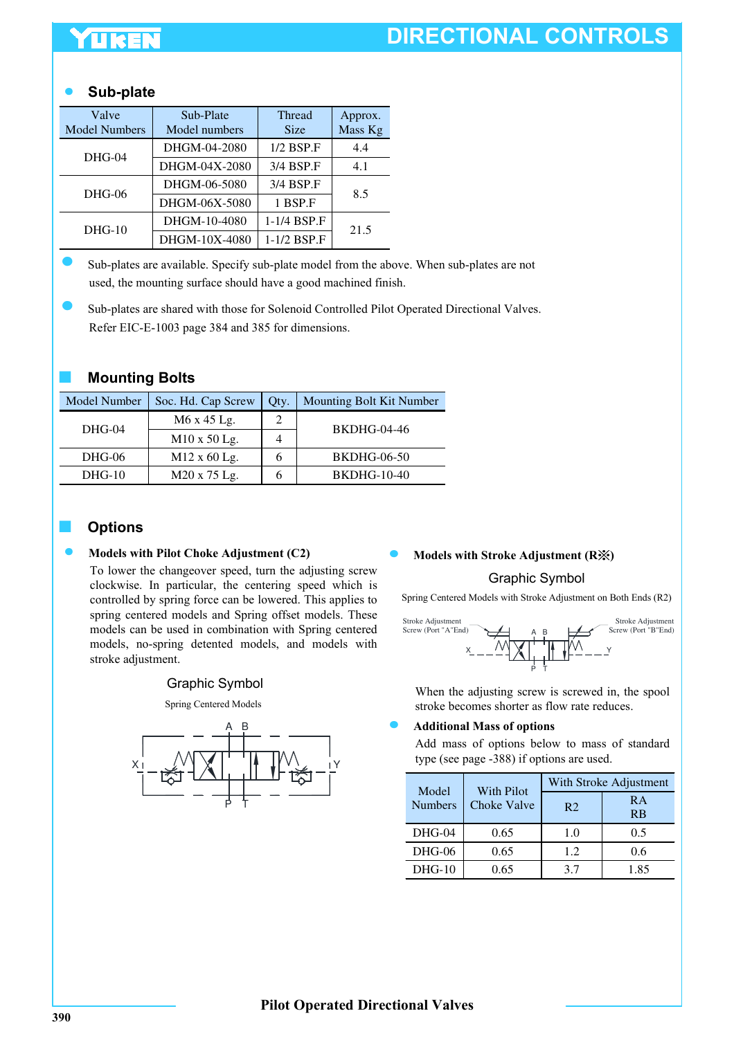# **DIRECTIONAL CONTROLS**

### **Sub-plate**

| Valve<br><b>Model Numbers</b> | Sub-Plate<br>Model numbers | <b>Thread</b><br><b>Size</b> | Approx.<br>Mass Kg |
|-------------------------------|----------------------------|------------------------------|--------------------|
| $DHG-04$                      | DHGM-04-2080               | $1/2$ BSP.F                  | 4.4                |
|                               | DHGM-04X-2080              | 3/4 BSP.F                    | 4.1                |
| $DHG-06$                      | DHGM-06-5080               | 3/4 BSP.F                    | 8.5                |
|                               | DHGM-06X-5080              | 1 BSP.F                      |                    |
| $DHG-10$                      | DHGM-10-4080               | 1-1/4 BSP.F                  | 21.5               |
|                               | DHGM-10X-4080              | 1-1/2 BSP.F                  |                    |

Sub-plates are available. Specify sub-plate model from the above. When sub-plates are not used, the mounting surface should have a good machined finish.

Sub-plates are shared with those for Solenoid Controlled Pilot Operated Directional Valves. Refer EIC-E-1003 page 384 and 385 for dimensions.

#### ■ **Mounting Bolts**

| Model Number | Soc. Hd. Cap Screw  | Qty. | Mounting Bolt Kit Number |  |
|--------------|---------------------|------|--------------------------|--|
| $DHG-04$     | M6 x 45 Lg.         |      | <b>BKDHG-04-46</b>       |  |
|              | $M10 \times 50$ Lg. |      |                          |  |
| DHG-06       | $M12 \times 60$ Lg. |      | <b>BKDHG-06-50</b>       |  |
| $DHG-10$     | M20 x 75 Lg.        |      | <b>BKDHG-10-40</b>       |  |

### ■ **Options**

#### **Models with Pilot Choke Adjustment (C2)**

To lower the changeover speed, turn the adjusting screw clockwise. In particular, the centering speed which is controlled by spring force can be lowered. This applies to spring centered models and Spring offset models. These models can be used in combination with Spring centered models, no-spring detented models, and models with stroke adjustment.

#### Graphic Symbol

Spring Centered Models



#### **Models with Stroke Adjustment (R )**

#### Graphic Symbol

Spring Centered Models with Stroke Adjustment on Both Ends (R2)



When the adjusting screw is screwed in, the spool stroke becomes shorter as flow rate reduces.

#### **Additional Mass of options**

Add mass of options below to mass of standard type (see page -388) if options are used.

| Model          | <b>With Pilot</b> |                | With Stroke Adjustment |
|----------------|-------------------|----------------|------------------------|
| <b>Numbers</b> | Choke Valve       | R <sub>2</sub> | R A<br><b>RB</b>       |
| $DHG-04$       | 0.65              | 1.0            | 0.5                    |
| DHG-06         | 0.65              | 1.2            | 0.6                    |
| $DHG-10$       | 0.65              | 37             | 1.85                   |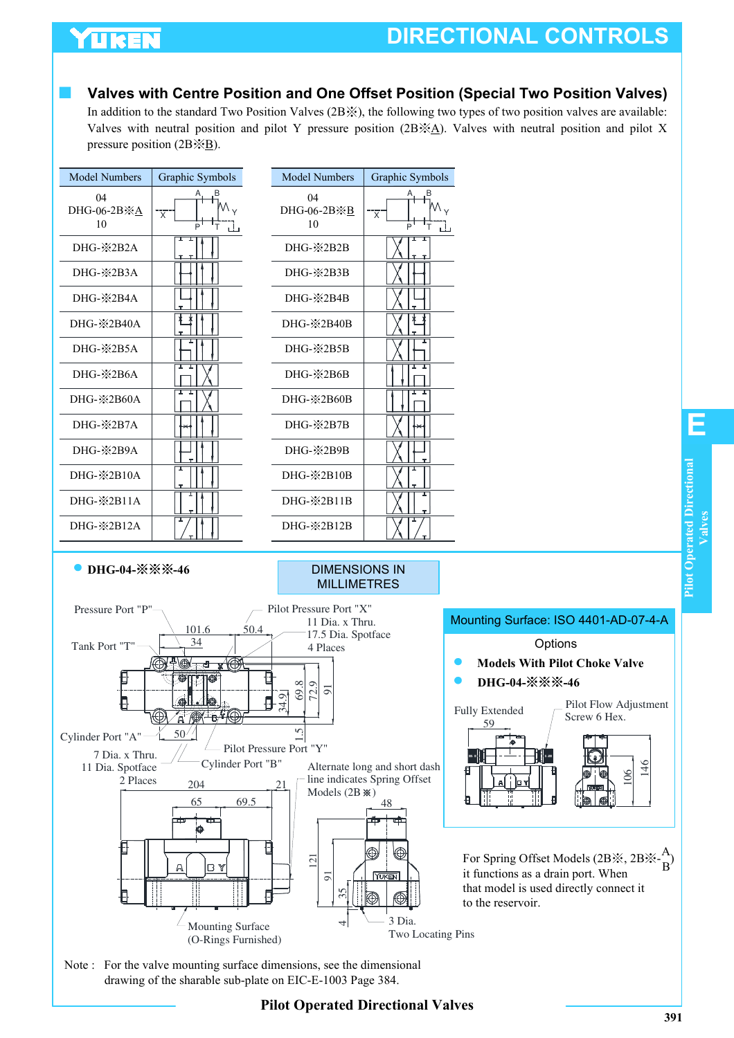# **YUKEN**

# **DIRECTIONAL CONTROLS**

### **Valves with Centre Position and One Offset Position (Special Two Position Valves)**

In addition to the standard Two Position Valves (2B※), the following two types of two position valves are available: Valves with neutral position and pilot Y pressure position  $(2B \times A)$ . Valves with neutral position and pilot X pressure position  $(2B \times B)$ .

| <b>Model Numbers</b>               | Graphic Symbols                                   |      | <b>Model Numbers</b>                       | Graphic Symbols                                               |   |
|------------------------------------|---------------------------------------------------|------|--------------------------------------------|---------------------------------------------------------------|---|
| 04<br>DHG-06-2B※A<br>10            | $\mathsf{M}_{\mathsf{v}}$<br>$\overline{x}$<br>P  |      | 04<br>DHG-06-2B※B<br>10                    | V<br>Þ                                                        |   |
| DHG- <sup>*</sup> 2B2A             |                                                   |      | DHG-※2B2B                                  | I<br>τ                                                        |   |
| DHG-*2B3A                          |                                                   |      | $DHG - X 2B3B$                             |                                                               |   |
| $DHG - X 2B4A$                     |                                                   |      | DHG-※2B4B                                  |                                                               |   |
| DHG-※2B40A                         |                                                   |      | DHG-※2B40B                                 |                                                               |   |
| DHG- <sup>*</sup> 2B5A             |                                                   |      | DHG-※2B5B                                  |                                                               |   |
| DHG-※2B6A                          |                                                   |      | DHG-※2B6B                                  |                                                               |   |
| DHG- $\&$ 2B60A                    |                                                   |      | DHG-※2B60B                                 |                                                               |   |
| DHG-*2B7A                          |                                                   |      | DHG-※2B7B                                  |                                                               |   |
| DHG-※2B9A                          |                                                   |      | DHG-※2B9B                                  |                                                               |   |
| DHG-※2B10A                         |                                                   |      | DHG-※2B10B                                 |                                                               |   |
| DHG-※2B11A                         |                                                   |      | DHG-※2B11B                                 |                                                               |   |
| DHG- <sup>3</sup> <sub>2B12A</sub> |                                                   |      | DHG-※2B12B                                 |                                                               |   |
| ● DHG-04-※※※-46                    |                                                   |      | <b>DIMENSIONS IN</b><br><b>MILLIMETRES</b> |                                                               |   |
| Pressure Port "P"-                 |                                                   |      | Pilot Pressure Port "X"<br>11 Dia. x Thru. |                                                               | M |
|                                    | 101.6<br>34                                       | 50.4 | 17.5 Dia. Spotface                         |                                                               |   |
| Tank Port "T"                      |                                                   |      | 4 Places                                   |                                                               |   |
|                                    | ⊛<br>$\bullet$ $\overline{\phantom{a}}$ $\bullet$ |      |                                            |                                                               |   |
|                                    | <b>o</b> l.10                                     |      | 69.8<br>5<br>72.<br>34.9                   |                                                               |   |
|                                    | ◎<br>$A \circledR + B$                            |      |                                            |                                                               | F |
| Cylinder Port "A"                  | 50 <sup>′</sup>                                   |      |                                            |                                                               |   |
| 7 Dia. x Thru.                     |                                                   |      | Pilot Pressure Port "Y"                    |                                                               |   |
| 11 Dia. Spotface<br>2 Places       | Cylinder Port "B"                                 |      |                                            | Alternate long and short dash<br>line indicates Spring Offset |   |
|                                    | 204                                               |      | 21                                         |                                                               |   |

#### 204 Models  $(2B \times 1)$ 65 69.5 48 121 91  $\frac{35}{1}$ 3 Dia. Ź Mounting Surface 4 Two Locating Pins (O-Rings Furnished)



that model is used directly connect it to the reservoir.

Note : For the valve mounting surface dimensions, see the dimensional drawing of the sharable sub-plate on EIC-E-1003 Page 384.

**E**

### **Pilot Operated Directional Valves**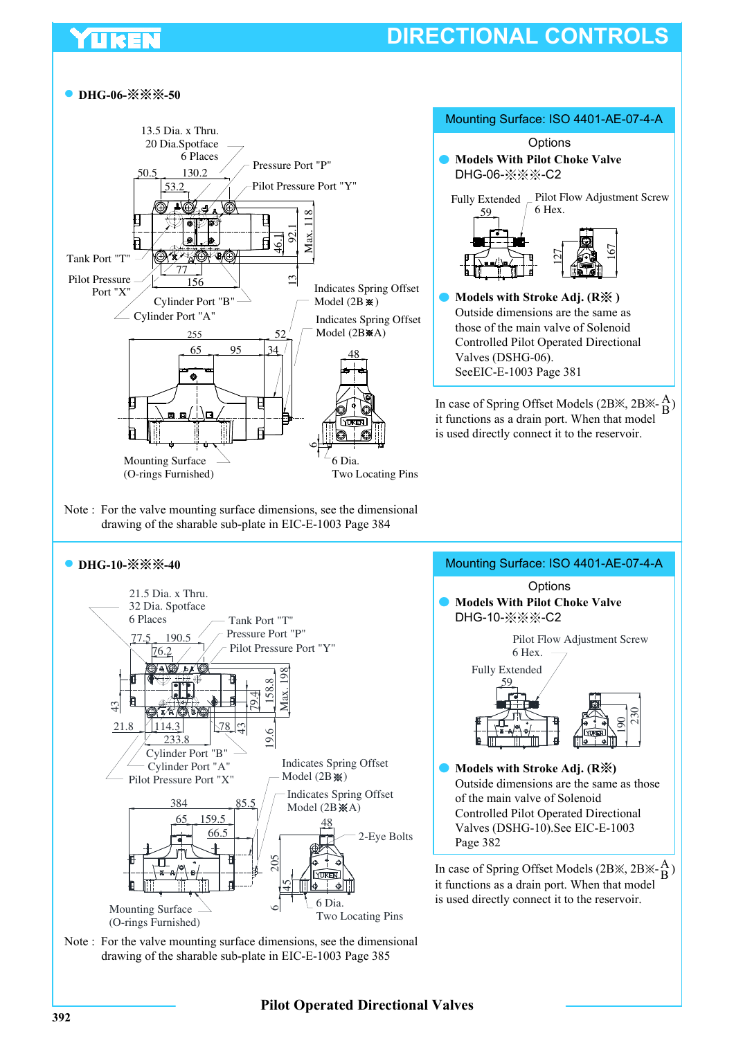# **DIRECTIONAL CONTROLS**

#### **DHG-06-※※※-50**



Note : For the valve mounting surface dimensions, see the dimensional drawing of the sharable sub-plate in EIC-E-1003 Page 384

#### **DHG-10-**  $\frac{1}{2}$   $\frac{1}{2}$   $\frac{1}{2}$   $\frac{1}{2}$



# Mounting Surface: ISO 4401-AE-07-4-A

167

B



it functions as a drain port. When that model is used directly connect it to the reservoir. A B

Note : For the valve mounting surface dimensions, see the dimensional drawing of the sharable sub-plate in EIC-E-1003 Page 385